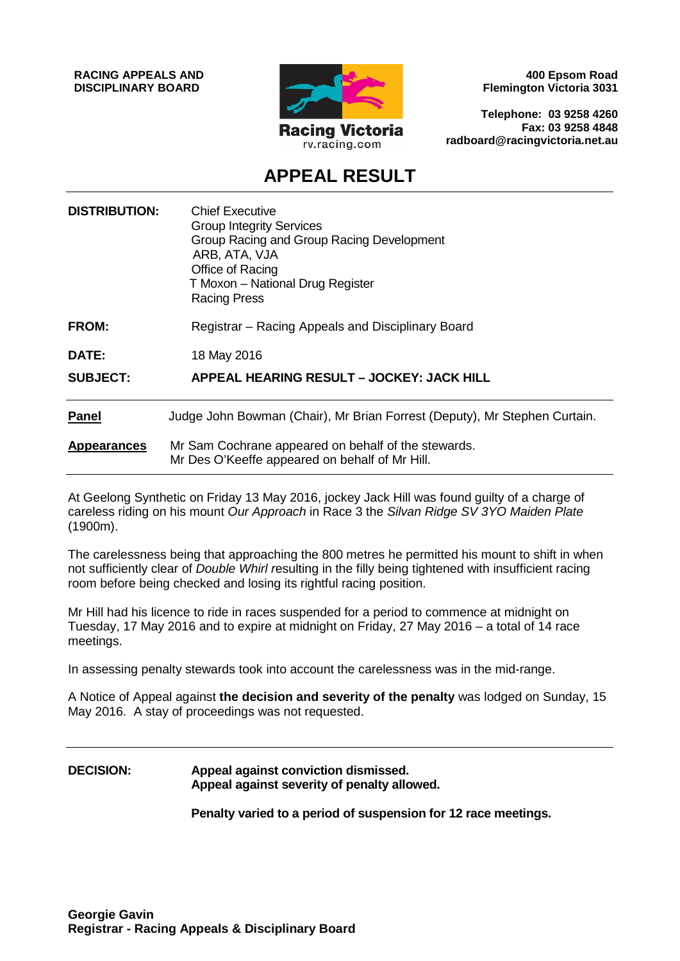**RACING APPEALS AND DISCIPLINARY BOARD**



**400 Epsom Road Flemington Victoria 3031**

**Telephone: 03 9258 4260 Fax: 03 9258 4848 radboard@racingvictoria.net.au**

# **APPEAL RESULT**

| <b>DISTRIBUTION:</b> | <b>Chief Executive</b><br><b>Group Integrity Services</b><br>Group Racing and Group Racing Development<br>ARB, ATA, VJA<br>Office of Racing<br>T Moxon - National Drug Register<br><b>Racing Press</b> |
|----------------------|--------------------------------------------------------------------------------------------------------------------------------------------------------------------------------------------------------|
| FROM:                | Registrar - Racing Appeals and Disciplinary Board                                                                                                                                                      |
| DATE:                | 18 May 2016                                                                                                                                                                                            |
| <b>SUBJECT:</b>      | <b>APPEAL HEARING RESULT - JOCKEY: JACK HILL</b>                                                                                                                                                       |
| <b>Panel</b>         | Judge John Bowman (Chair), Mr Brian Forrest (Deputy), Mr Stephen Curtain.                                                                                                                              |
| <b>Appearances</b>   | Mr Sam Cochrane appeared on behalf of the stewards.<br>Mr Des O'Keeffe appeared on behalf of Mr Hill.                                                                                                  |

At Geelong Synthetic on Friday 13 May 2016, jockey Jack Hill was found guilty of a charge of careless riding on his mount *Our Approach* in Race 3 the *Silvan Ridge SV 3YO Maiden Plate* (1900m).

The carelessness being that approaching the 800 metres he permitted his mount to shift in when not sufficiently clear of *Double Whirl r*esulting in the filly being tightened with insufficient racing room before being checked and losing its rightful racing position.

Mr Hill had his licence to ride in races suspended for a period to commence at midnight on Tuesday, 17 May 2016 and to expire at midnight on Friday, 27 May 2016 – a total of 14 race meetings.

In assessing penalty stewards took into account the carelessness was in the mid-range.

A Notice of Appeal against **the decision and severity of the penalty** was lodged on Sunday, 15 May 2016. A stay of proceedings was not requested.

### **DECISION: Appeal against conviction dismissed. Appeal against severity of penalty allowed.**

**Penalty varied to a period of suspension for 12 race meetings.**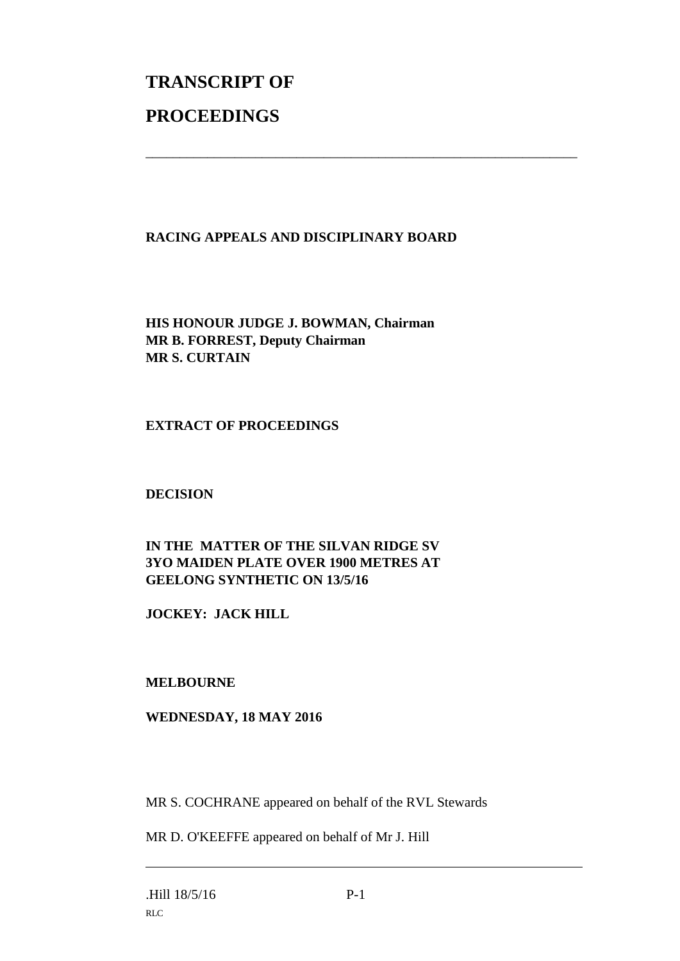# **TRANSCRIPT OF PROCEEDINGS**

# **RACING APPEALS AND DISCIPLINARY BOARD**

\_\_\_\_\_\_\_\_\_\_\_\_\_\_\_\_\_\_\_\_\_\_\_\_\_\_\_\_\_\_\_\_\_\_\_\_\_\_\_\_\_\_\_\_\_\_\_\_\_\_\_\_\_\_\_\_\_\_\_\_\_\_\_

**HIS HONOUR JUDGE J. BOWMAN, Chairman MR B. FORREST, Deputy Chairman MR S. CURTAIN**

#### **EXTRACT OF PROCEEDINGS**

#### **DECISION**

# **IN THE MATTER OF THE SILVAN RIDGE SV 3YO MAIDEN PLATE OVER 1900 METRES AT GEELONG SYNTHETIC ON 13/5/16**

**JOCKEY: JACK HILL**

#### **MELBOURNE**

#### **WEDNESDAY, 18 MAY 2016**

MR S. COCHRANE appeared on behalf of the RVL Stewards

MR D. O'KEEFFE appeared on behalf of Mr J. Hill